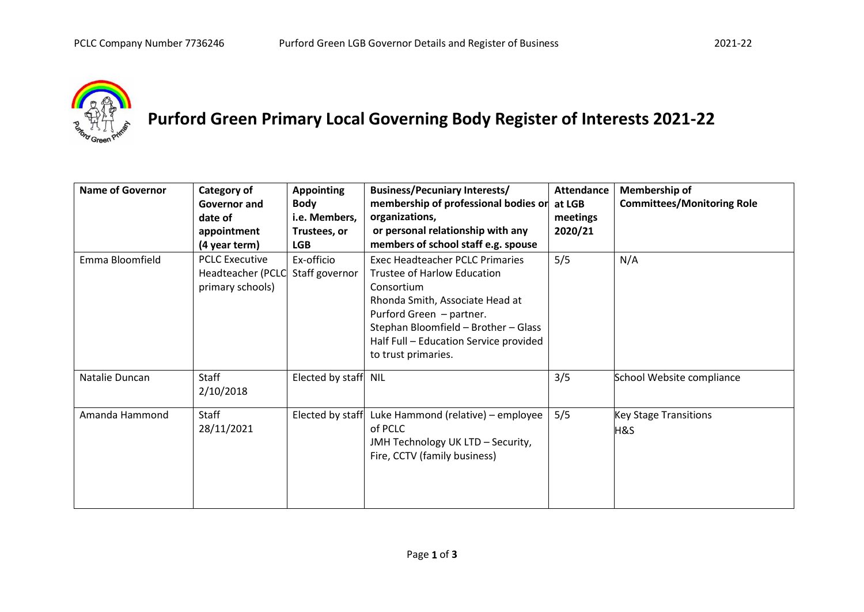

## **Purford Green Primary Local Governing Body Register of Interests 2021-22**

| <b>Name of Governor</b> | Category of<br>Governor and<br>date of<br>appointment<br>(4 year term) | <b>Appointing</b><br><b>Body</b><br>i.e. Members,<br>Trustees, or<br><b>LGB</b> | <b>Business/Pecuniary Interests/</b><br>membership of professional bodies or<br>organizations,<br>or personal relationship with any<br>members of school staff e.g. spouse                                                                                  | <b>Attendance</b><br>at LGB<br>meetings<br>2020/21 | Membership of<br><b>Committees/Monitoring Role</b> |
|-------------------------|------------------------------------------------------------------------|---------------------------------------------------------------------------------|-------------------------------------------------------------------------------------------------------------------------------------------------------------------------------------------------------------------------------------------------------------|----------------------------------------------------|----------------------------------------------------|
| Emma Bloomfield         | <b>PCLC Executive</b><br>Headteacher (PCLC<br>primary schools)         | Ex-officio<br>Staff governor                                                    | <b>Exec Headteacher PCLC Primaries</b><br>Trustee of Harlow Education<br>Consortium<br>Rhonda Smith, Associate Head at<br>Purford Green - partner.<br>Stephan Bloomfield - Brother - Glass<br>Half Full - Education Service provided<br>to trust primaries. | 5/5                                                | N/A                                                |
| Natalie Duncan          | Staff<br>2/10/2018                                                     | Elected by staff NIL                                                            |                                                                                                                                                                                                                                                             | 3/5                                                | School Website compliance                          |
| Amanda Hammond          | Staff<br>28/11/2021                                                    | Elected by staff                                                                | Luke Hammond (relative) - employee<br>of PCLC<br>JMH Technology UK LTD - Security,<br>Fire, CCTV (family business)                                                                                                                                          | 5/5                                                | <b>Key Stage Transitions</b><br>H&S                |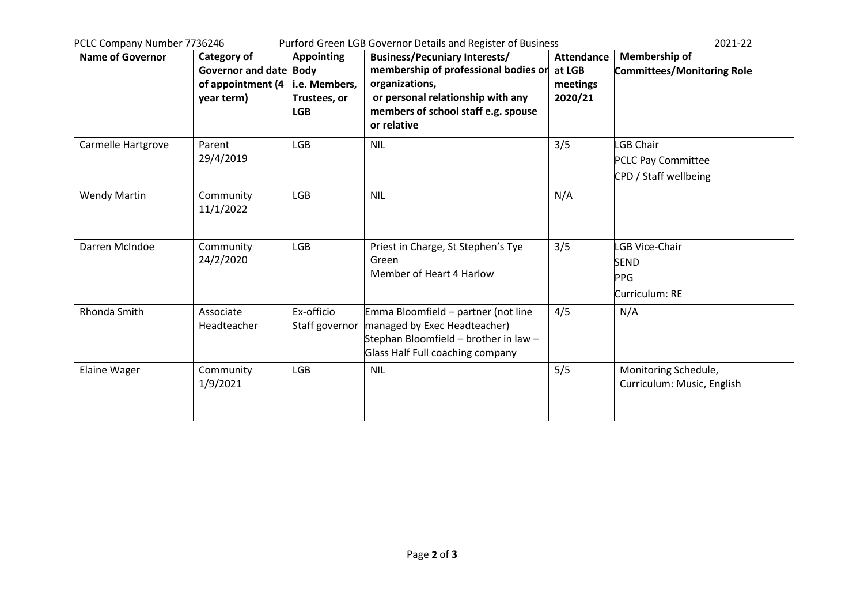| Purford Green LGB Governor Details and Register of Business<br>PCLC Company Number 7736246 |                                                                          |                                                    |                                                                                                                                                  |                                                    | 2021-22                                                              |
|--------------------------------------------------------------------------------------------|--------------------------------------------------------------------------|----------------------------------------------------|--------------------------------------------------------------------------------------------------------------------------------------------------|----------------------------------------------------|----------------------------------------------------------------------|
| <b>Name of Governor</b>                                                                    | Category of<br>Governor and date Body<br>of appointment (4<br>year term) | <b>Appointing</b><br>i.e. Members,<br>Trustees, or | <b>Business/Pecuniary Interests/</b><br>membership of professional bodies or<br>organizations,<br>or personal relationship with any              | <b>Attendance</b><br>at LGB<br>meetings<br>2020/21 | <b>Membership of</b><br><b>Committees/Monitoring Role</b>            |
|                                                                                            |                                                                          | <b>LGB</b>                                         | members of school staff e.g. spouse<br>or relative                                                                                               |                                                    |                                                                      |
| Carmelle Hartgrove                                                                         | Parent<br>29/4/2019                                                      | <b>LGB</b>                                         | <b>NIL</b>                                                                                                                                       | 3/5                                                | <b>LGB Chair</b><br>PCLC Pay Committee<br>CPD / Staff wellbeing      |
| <b>Wendy Martin</b>                                                                        | Community<br>11/1/2022                                                   | <b>LGB</b>                                         | <b>NIL</b>                                                                                                                                       | N/A                                                |                                                                      |
| Darren McIndoe                                                                             | Community<br>24/2/2020                                                   | <b>LGB</b>                                         | Priest in Charge, St Stephen's Tye<br>Green<br>Member of Heart 4 Harlow                                                                          | 3/5                                                | <b>LGB Vice-Chair</b><br><b>SEND</b><br><b>PPG</b><br>Curriculum: RE |
| Rhonda Smith                                                                               | Associate<br>Headteacher                                                 | Ex-officio<br>Staff governor                       | Emma Bloomfield - partner (not line<br>managed by Exec Headteacher)<br>Stephan Bloomfield - brother in law -<br>Glass Half Full coaching company | 4/5                                                | N/A                                                                  |
| <b>Elaine Wager</b>                                                                        | Community<br>1/9/2021                                                    | <b>LGB</b>                                         | <b>NIL</b>                                                                                                                                       | 5/5                                                | Monitoring Schedule,<br>Curriculum: Music, English                   |